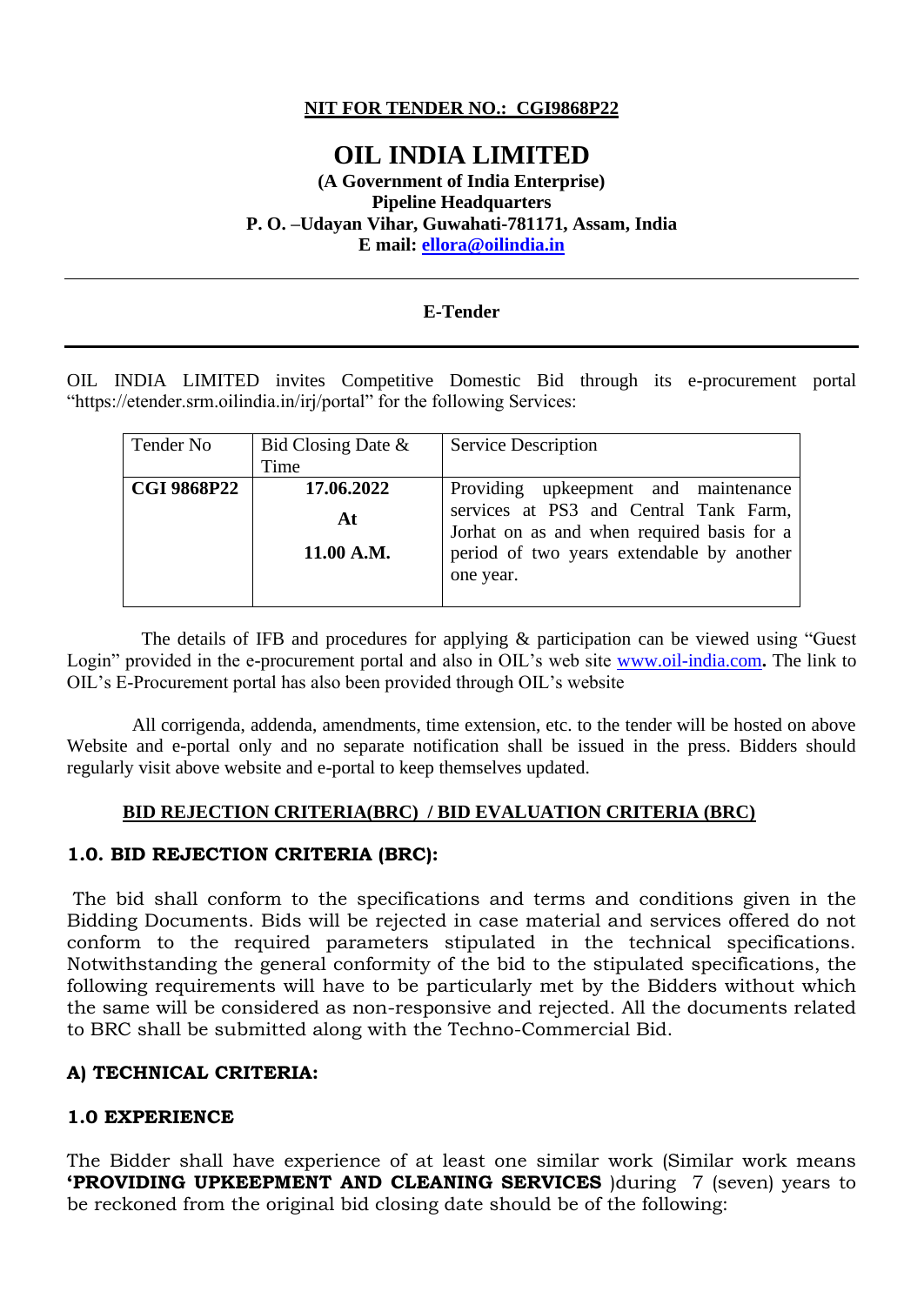### **NIT FOR TENDER NO.: CGI9868P22**

# **OIL INDIA LIMITED**

#### **(A Government of India Enterprise) Pipeline Headquarters P. O. –Udayan Vihar, Guwahati-781171, Assam, India E mail: [ellora@oilindia.in](mailto:ellora@oilindia.in)**

#### **E-Tender**

OIL INDIA LIMITED invites Competitive Domestic Bid through its e-procurement portal "https://etender.srm.oilindia.in/irj/portal" for the following Services:

| Tender No          | Bid Closing Date $\&$<br>Time  | <b>Service Description</b>                                                                                                                                                             |
|--------------------|--------------------------------|----------------------------------------------------------------------------------------------------------------------------------------------------------------------------------------|
| <b>CGI 9868P22</b> | 17.06.2022<br>At<br>11.00 A.M. | Providing upkeepment and maintenance<br>services at PS3 and Central Tank Farm,<br>Jorhat on as and when required basis for a<br>period of two years extendable by another<br>one year. |

 The details of IFB and procedures for applying & participation can be viewed using "Guest Login" provided in the e-procurement portal and also in OIL's web site [www.oil-india.com](http://www.oil-india.com/)**.** The link to OIL's E-Procurement portal has also been provided through OIL's website

 All corrigenda, addenda, amendments, time extension, etc. to the tender will be hosted on above Website and e-portal only and no separate notification shall be issued in the press. Bidders should regularly visit above website and e-portal to keep themselves updated.

### **BID REJECTION CRITERIA(BRC) / BID EVALUATION CRITERIA (BRC)**

### **1.0. BID REJECTION CRITERIA (BRC):**

The bid shall conform to the specifications and terms and conditions given in the Bidding Documents. Bids will be rejected in case material and services offered do not conform to the required parameters stipulated in the technical specifications. Notwithstanding the general conformity of the bid to the stipulated specifications, the following requirements will have to be particularly met by the Bidders without which the same will be considered as non-responsive and rejected. All the documents related to BRC shall be submitted along with the Techno-Commercial Bid.

#### **A) TECHNICAL CRITERIA:**

### **1.0 EXPERIENCE**

The Bidder shall have experience of at least one similar work (Similar work means **'PROVIDING UPKEEPMENT AND CLEANING SERVICES** )during 7 (seven) years to be reckoned from the original bid closing date should be of the following: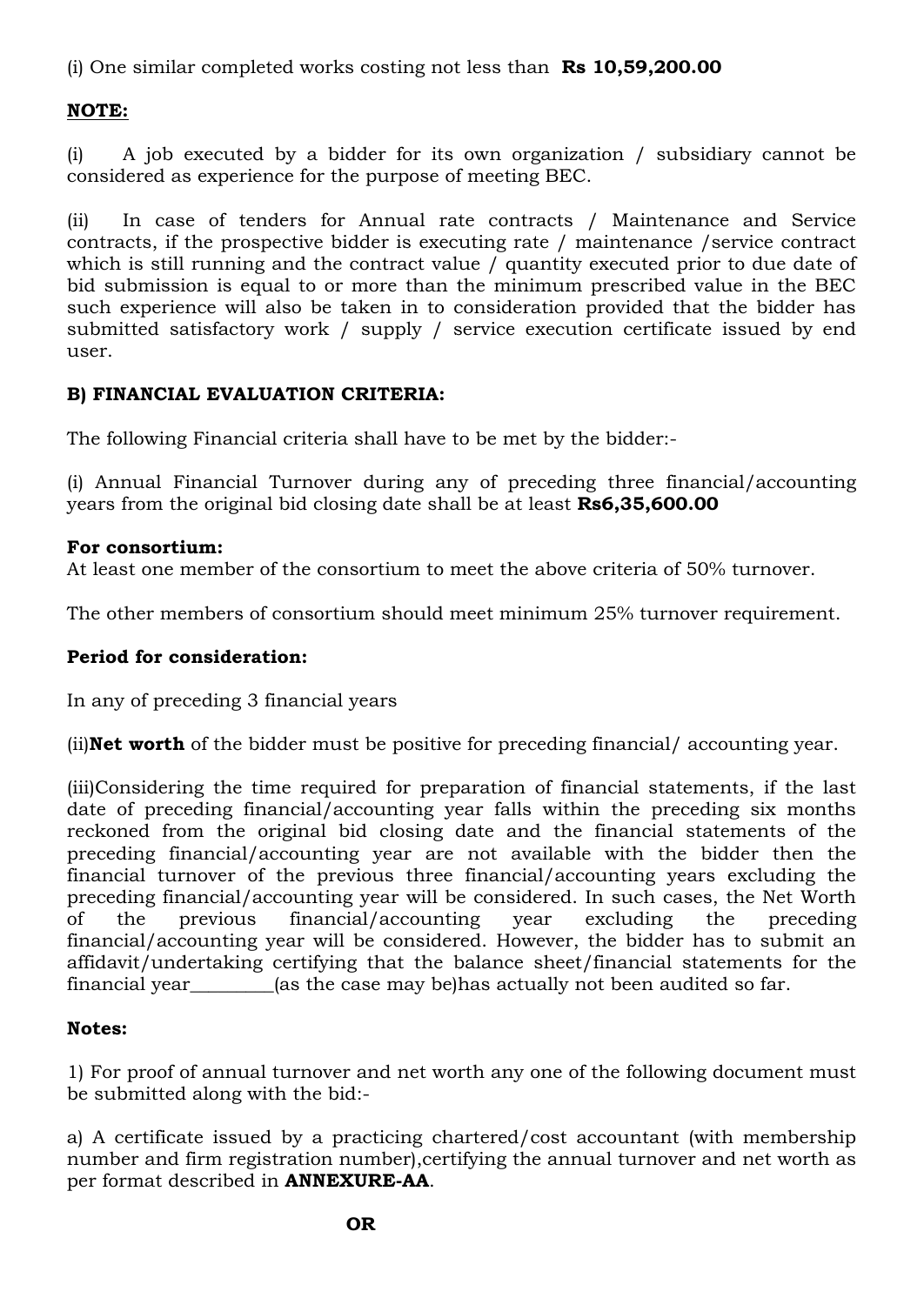(i) One similar completed works costing not less than **Rs 10,59,200.00**

# **NOTE:**

(i) A job executed by a bidder for its own organization / subsidiary cannot be considered as experience for the purpose of meeting BEC.

(ii) In case of tenders for Annual rate contracts / Maintenance and Service contracts, if the prospective bidder is executing rate / maintenance /service contract which is still running and the contract value / quantity executed prior to due date of bid submission is equal to or more than the minimum prescribed value in the BEC such experience will also be taken in to consideration provided that the bidder has submitted satisfactory work / supply / service execution certificate issued by end user.

### **B) FINANCIAL EVALUATION CRITERIA:**

The following Financial criteria shall have to be met by the bidder:-

(i) Annual Financial Turnover during any of preceding three financial/accounting years from the original bid closing date shall be at least **Rs6,35,600.00**

### **For consortium:**

At least one member of the consortium to meet the above criteria of 50% turnover.

The other members of consortium should meet minimum 25% turnover requirement.

# **Period for consideration:**

In any of preceding 3 financial years

(ii)**Net worth** of the bidder must be positive for preceding financial/ accounting year.

(iii)Considering the time required for preparation of financial statements, if the last date of preceding financial/accounting year falls within the preceding six months reckoned from the original bid closing date and the financial statements of the preceding financial/accounting year are not available with the bidder then the financial turnover of the previous three financial/accounting years excluding the preceding financial/accounting year will be considered. In such cases, the Net Worth of the previous financial/accounting year excluding the preceding financial/accounting year will be considered. However, the bidder has to submit an affidavit/undertaking certifying that the balance sheet/financial statements for the financial year\_\_\_\_\_\_\_\_\_(as the case may be)has actually not been audited so far.

# **Notes:**

1) For proof of annual turnover and net worth any one of the following document must be submitted along with the bid:-

a) A certificate issued by a practicing chartered/cost accountant (with membership number and firm registration number),certifying the annual turnover and net worth as per format described in **ANNEXURE-AA**.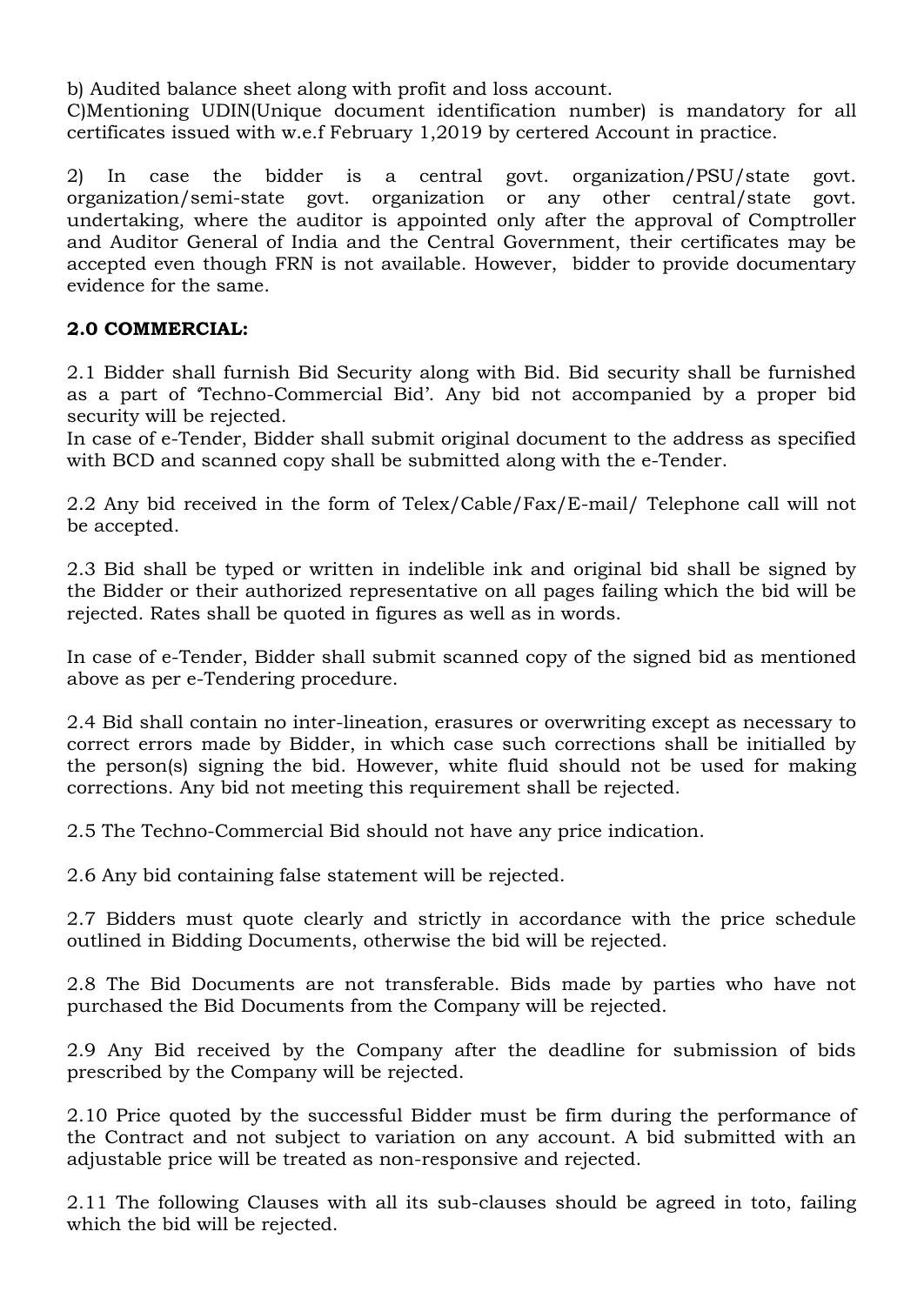b) Audited balance sheet along with profit and loss account.

C)Mentioning UDIN(Unique document identification number) is mandatory for all certificates issued with w.e.f February 1,2019 by certered Account in practice.

2) In case the bidder is a central govt. organization/PSU/state govt. organization/semi-state govt. organization or any other central/state govt. undertaking, where the auditor is appointed only after the approval of Comptroller and Auditor General of India and the Central Government, their certificates may be accepted even though FRN is not available. However, bidder to provide documentary evidence for the same.

### **2.0 COMMERCIAL:**

2.1 Bidder shall furnish Bid Security along with Bid. Bid security shall be furnished as a part of 'Techno-Commercial Bid'. Any bid not accompanied by a proper bid security will be rejected.

In case of e-Tender, Bidder shall submit original document to the address as specified with BCD and scanned copy shall be submitted along with the e-Tender.

2.2 Any bid received in the form of Telex/Cable/Fax/E-mail/ Telephone call will not be accepted.

2.3 Bid shall be typed or written in indelible ink and original bid shall be signed by the Bidder or their authorized representative on all pages failing which the bid will be rejected. Rates shall be quoted in figures as well as in words.

In case of e-Tender, Bidder shall submit scanned copy of the signed bid as mentioned above as per e-Tendering procedure.

2.4 Bid shall contain no inter-lineation, erasures or overwriting except as necessary to correct errors made by Bidder, in which case such corrections shall be initialled by the person(s) signing the bid. However, white fluid should not be used for making corrections. Any bid not meeting this requirement shall be rejected.

2.5 The Techno-Commercial Bid should not have any price indication.

2.6 Any bid containing false statement will be rejected.

2.7 Bidders must quote clearly and strictly in accordance with the price schedule outlined in Bidding Documents, otherwise the bid will be rejected.

2.8 The Bid Documents are not transferable. Bids made by parties who have not purchased the Bid Documents from the Company will be rejected.

2.9 Any Bid received by the Company after the deadline for submission of bids prescribed by the Company will be rejected.

2.10 Price quoted by the successful Bidder must be firm during the performance of the Contract and not subject to variation on any account. A bid submitted with an adjustable price will be treated as non-responsive and rejected.

2.11 The following Clauses with all its sub-clauses should be agreed in toto, failing which the bid will be rejected.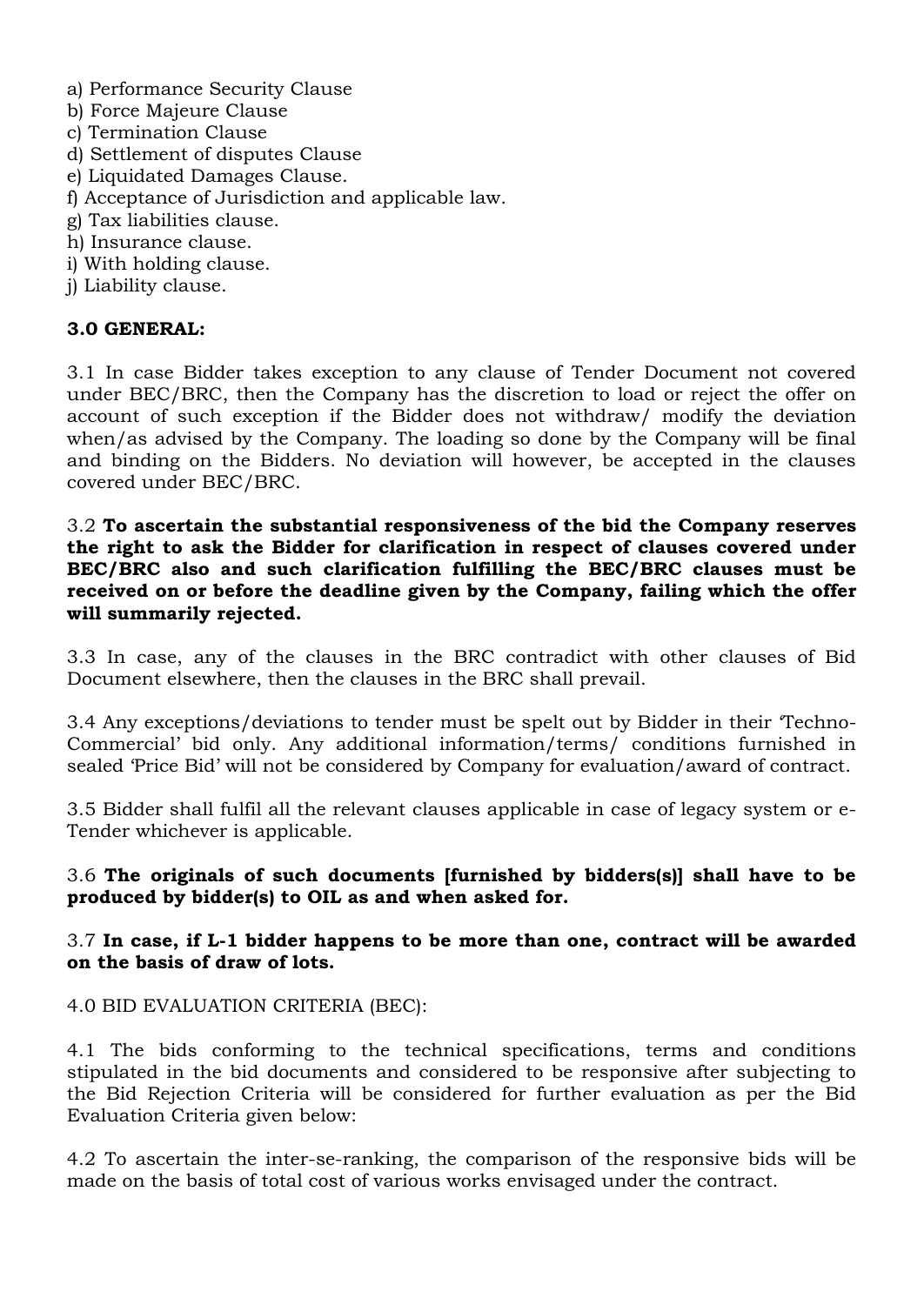- a) Performance Security Clause
- b) Force Majeure Clause
- c) Termination Clause
- d) Settlement of disputes Clause
- e) Liquidated Damages Clause.
- f) Acceptance of Jurisdiction and applicable law.
- g) Tax liabilities clause.
- h) Insurance clause.
- i) With holding clause.
- j) Liability clause.

### **3.0 GENERAL:**

3.1 In case Bidder takes exception to any clause of Tender Document not covered under BEC/BRC, then the Company has the discretion to load or reject the offer on account of such exception if the Bidder does not withdraw/ modify the deviation when/as advised by the Company. The loading so done by the Company will be final and binding on the Bidders. No deviation will however, be accepted in the clauses covered under BEC/BRC.

3.2 **To ascertain the substantial responsiveness of the bid the Company reserves the right to ask the Bidder for clarification in respect of clauses covered under BEC/BRC also and such clarification fulfilling the BEC/BRC clauses must be received on or before the deadline given by the Company, failing which the offer will summarily rejected.**

3.3 In case, any of the clauses in the BRC contradict with other clauses of Bid Document elsewhere, then the clauses in the BRC shall prevail.

3.4 Any exceptions/deviations to tender must be spelt out by Bidder in their 'Techno-Commercial' bid only. Any additional information/terms/ conditions furnished in sealed 'Price Bid' will not be considered by Company for evaluation/award of contract.

3.5 Bidder shall fulfil all the relevant clauses applicable in case of legacy system or e-Tender whichever is applicable.

### 3.6 **The originals of such documents [furnished by bidders(s)] shall have to be produced by bidder(s) to OIL as and when asked for.**

3.7 **In case, if L-1 bidder happens to be more than one, contract will be awarded on the basis of draw of lots.**

### 4.0 BID EVALUATION CRITERIA (BEC):

4.1 The bids conforming to the technical specifications, terms and conditions stipulated in the bid documents and considered to be responsive after subjecting to the Bid Rejection Criteria will be considered for further evaluation as per the Bid Evaluation Criteria given below:

4.2 To ascertain the inter-se-ranking, the comparison of the responsive bids will be made on the basis of total cost of various works envisaged under the contract.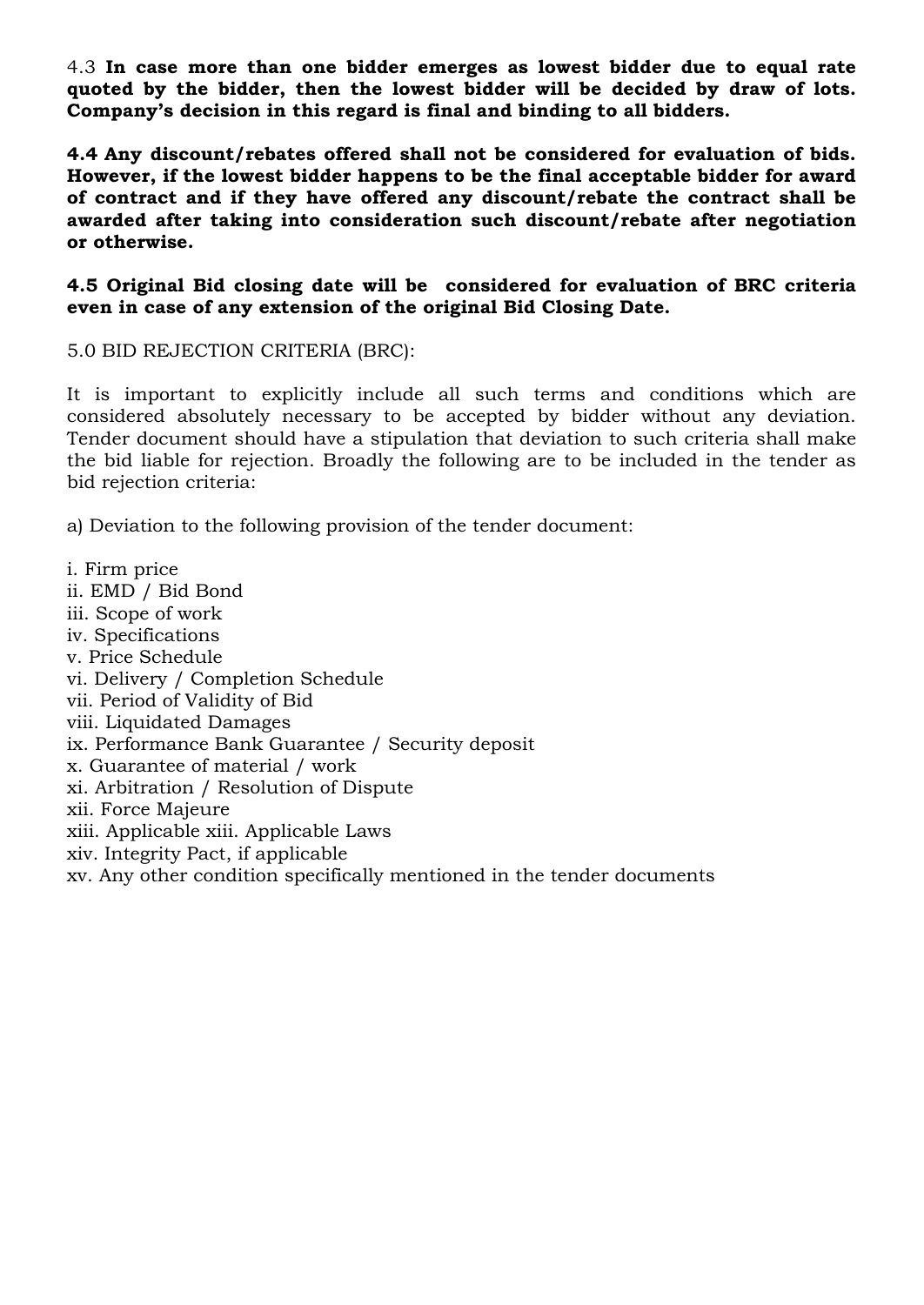4.3 **In case more than one bidder emerges as lowest bidder due to equal rate quoted by the bidder, then the lowest bidder will be decided by draw of lots. Company's decision in this regard is final and binding to all bidders.**

**4.4 Any discount/rebates offered shall not be considered for evaluation of bids. However, if the lowest bidder happens to be the final acceptable bidder for award of contract and if they have offered any discount/rebate the contract shall be awarded after taking into consideration such discount/rebate after negotiation or otherwise.**

**4.5 Original Bid closing date will be considered for evaluation of BRC criteria even in case of any extension of the original Bid Closing Date.**

5.0 BID REJECTION CRITERIA (BRC):

It is important to explicitly include all such terms and conditions which are considered absolutely necessary to be accepted by bidder without any deviation. Tender document should have a stipulation that deviation to such criteria shall make the bid liable for rejection. Broadly the following are to be included in the tender as bid rejection criteria:

a) Deviation to the following provision of the tender document:

i. Firm price ii. EMD / Bid Bond iii. Scope of work iv. Specifications v. Price Schedule vi. Delivery / Completion Schedule vii. Period of Validity of Bid viii. Liquidated Damages ix. Performance Bank Guarantee / Security deposit x. Guarantee of material / work xi. Arbitration / Resolution of Dispute xii. Force Majeure xiii. Applicable xiii. Applicable Laws xiv. Integrity Pact, if applicable xv. Any other condition specifically mentioned in the tender documents